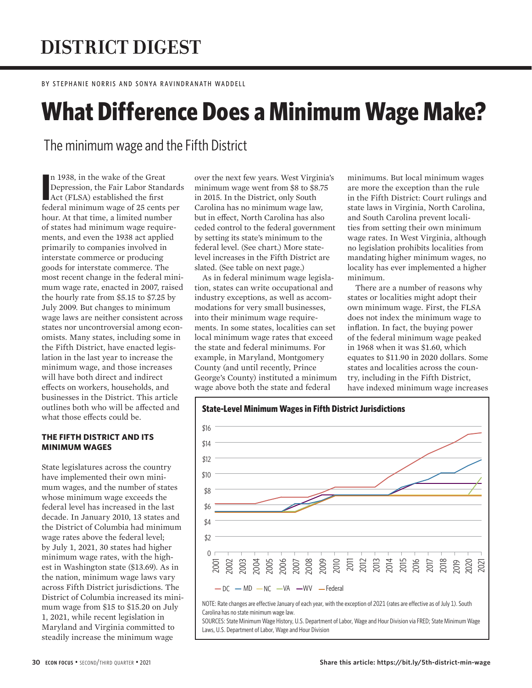# **DISTRICT DIGEST**

BY STEPHANIE NORRIS AND SONYA RAVINDRANATH WADDELL

# **What Difference Does a Minimum Wage Make?**

The minimum wage and the Fifth District

In 1938, in the wake of the Great<br>Depression, the Fair Labor Standards<br>Act (FLSA) established the first<br>federal minimum wage of 25 cents per n 1938, in the wake of the Great Depression, the Fair Labor Standards Act (FLSA) established the first hour. At that time, a limited number of states had minimum wage requirements, and even the 1938 act applied primarily to companies involved in interstate commerce or producing goods for interstate commerce. The most recent change in the federal minimum wage rate, enacted in 2007, raised the hourly rate from \$5.15 to \$7.25 by July 2009. But changes to minimum wage laws are neither consistent across states nor uncontroversial among economists. Many states, including some in the Fifth District, have enacted legislation in the last year to increase the minimum wage, and those increases will have both direct and indirect effects on workers, households, and businesses in the District. This article outlines both who will be affected and what those effects could be.

# **THE FIFTH DISTRICT AND ITS MINIMUM WAGES**

State legislatures across the country have implemented their own minimum wages, and the number of states whose minimum wage exceeds the federal level has increased in the last decade. In January 2010, 13 states and the District of Columbia had minimum wage rates above the federal level; by July 1, 2021, 30 states had higher minimum wage rates, with the highest in Washington state (\$13.69). As in the nation, minimum wage laws vary across Fifth District jurisdictions. The District of Columbia increased its minimum wage from \$15 to \$15.20 on July 1, 2021, while recent legislation in Maryland and Virginia committed to steadily increase the minimum wage

over the next few years. West Virginia's minimum wage went from \$8 to \$8.75 in 2015. In the District, only South Carolina has no minimum wage law, but in effect, North Carolina has also ceded control to the federal government by setting its state's minimum to the federal level. (See chart.) More statelevel increases in the Fifth District are slated. (See table on next page.)

As in federal minimum wage legislation, states can write occupational and industry exceptions, as well as accommodations for very small businesses, into their minimum wage requirements. In some states, localities can set local minimum wage rates that exceed the state and federal minimums. For example, in Maryland, Montgomery County (and until recently, Prince George's County) instituted a minimum wage above both the state and federal

minimums. But local minimum wages are more the exception than the rule in the Fifth District: Court rulings and state laws in Virginia, North Carolina, and South Carolina prevent localities from setting their own minimum wage rates. In West Virginia, although no legislation prohibits localities from mandating higher minimum wages, no locality has ever implemented a higher minimum.

There are a number of reasons why states or localities might adopt their own minimum wage. First, the FLSA does not index the minimum wage to inflation. In fact, the buying power of the federal minimum wage peaked in 1968 when it was \$1.60, which equates to \$11.90 in 2020 dollars. Some states and localities across the country, including in the Fifth District, have indexed minimum wage increases



NOTE: Rate changes are effective January of each year, with the exception of 2021 (rates are effective as of July 1). South Carolina has no state minimum wage law.

SOURCES: State Minimum Wage History, U.S. Department of Labor, Wage and Hour Division via FRED; State Minimum Wage Laws, U.S. Department of Labor, Wage and Hour Division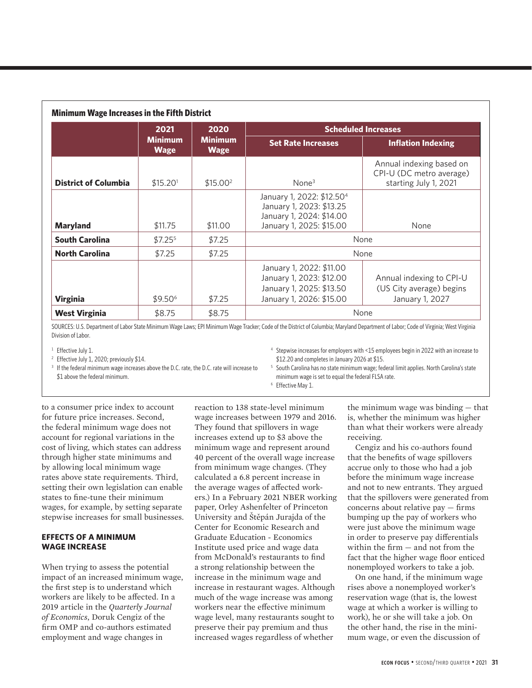| <b>Minimum Wage Increases in the Fifth District</b> |                               |                                       |                                                                                                                           |                                                                               |  |  |
|-----------------------------------------------------|-------------------------------|---------------------------------------|---------------------------------------------------------------------------------------------------------------------------|-------------------------------------------------------------------------------|--|--|
|                                                     | 2021                          | 2020<br><b>Minimum</b><br><b>Wage</b> | <b>Scheduled Increases</b>                                                                                                |                                                                               |  |  |
|                                                     | <b>Minimum</b><br><b>Wage</b> |                                       | <b>Set Rate Increases</b>                                                                                                 | <b>Inflation Indexing</b>                                                     |  |  |
| <b>District of Columbia</b>                         | \$15.20 <sup>1</sup>          | \$15.00 <sup>2</sup>                  | None <sup>3</sup>                                                                                                         | Annual indexing based on<br>CPI-U (DC metro average)<br>starting July 1, 2021 |  |  |
| <b>Maryland</b>                                     | \$11,75                       | \$11.00                               | January 1, 2022: \$12.50 <sup>4</sup><br>January 1, 2023: \$13.25<br>January 1, 2024: \$14.00<br>January 1, 2025: \$15.00 | None                                                                          |  |  |
| <b>South Carolina</b>                               | $$7.25^5$                     | \$7.25                                | None                                                                                                                      |                                                                               |  |  |
| <b>North Carolina</b>                               | \$7.25                        | \$7.25                                | None                                                                                                                      |                                                                               |  |  |
| <b>Virginia</b>                                     | $$9.50^6$                     | \$7.25                                | January 1, 2022: \$11.00<br>January 1, 2023: \$12.00<br>January 1, 2025: \$13.50<br>January 1, 2026: \$15.00              | Annual indexing to CPI-U<br>(US City average) begins<br>January 1, 2027       |  |  |
| <b>West Virginia</b>                                | \$8.75                        | \$8.75                                |                                                                                                                           | None                                                                          |  |  |

SOURCES: U.S. Department of Labor State Minimum Wage Laws; EPI Minimum Wage Tracker; Code of the District of Columbia; Maryland Department of Labor; Code of Virginia; West Virginia Division of Labor.

<sup>1</sup> Effective July 1.

<sup>2</sup> Effective July 1, 2020; previously \$14.

<sup>3</sup> If the federal minimum wage increases above the D.C. rate, the D.C. rate will increase to \$1 above the federal minimum.

<sup>4</sup> Stepwise increases for employers with <15 employees begin in 2022 with an increase to \$12.20 and completes in January 2026 at \$15.

<sup>5</sup> South Carolina has no state minimum wage; federal limit applies. North Carolina's state minimum wage is set to equal the federal FLSA rate.

<sup>6</sup> Effective May 1.

to a consumer price index to account for future price increases. Second, the federal minimum wage does not account for regional variations in the cost of living, which states can address through higher state minimums and by allowing local minimum wage rates above state requirements. Third, setting their own legislation can enable states to fine-tune their minimum wages, for example, by setting separate stepwise increases for small businesses.

## **EFFECTS OF A MINIMUM WAGE INCREASE**

When trying to assess the potential impact of an increased minimum wage, the first step is to understand which workers are likely to be affected. In a 2019 article in the *Quarterly Journal of Economics*, Doruk Cengiz of the firm OMP and co-authors estimated employment and wage changes in

reaction to 138 state-level minimum wage increases between 1979 and 2016. They found that spillovers in wage increases extend up to \$3 above the minimum wage and represent around 40 percent of the overall wage increase from minimum wage changes. (They calculated a 6.8 percent increase in the average wages of affected workers.) In a February 2021 NBER working paper, Orley Ashenfelter of Princeton University and Štěpán Jurajda of the Center for Economic Research and Graduate Education - Economics Institute used price and wage data from McDonald's restaurants to find a strong relationship between the increase in the minimum wage and increase in restaurant wages. Although much of the wage increase was among workers near the effective minimum wage level, many restaurants sought to preserve their pay premium and thus increased wages regardless of whether

the minimum wage was binding — that is, whether the minimum was higher than what their workers were already receiving.

Cengiz and his co-authors found that the benefits of wage spillovers accrue only to those who had a job before the minimum wage increase and not to new entrants. They argued that the spillovers were generated from concerns about relative pay — firms bumping up the pay of workers who were just above the minimum wage in order to preserve pay differentials within the firm — and not from the fact that the higher wage floor enticed nonemployed workers to take a job.

On one hand, if the minimum wage rises above a nonemployed worker's reservation wage (that is, the lowest wage at which a worker is willing to work), he or she will take a job. On the other hand, the rise in the minimum wage, or even the discussion of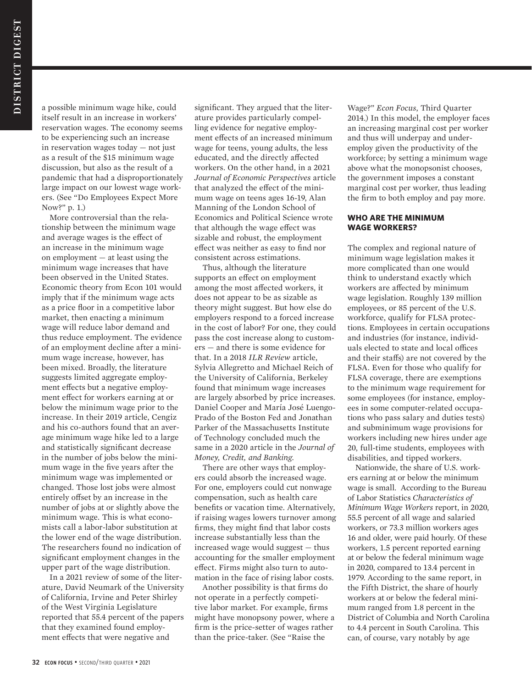a possible minimum wage hike, could itself result in an increase in workers' reservation wages. The economy seems to be experiencing such an increase in reservation wages today — not just as a result of the \$15 minimum wage discussion, but also as the result of a pandemic that had a disproportionately large impact on our lowest wage workers. (See "Do Employees Expect More Now?" p. 1.)

More controversial than the relationship between the minimum wage and average wages is the effect of an increase in the minimum wage on employment — at least using the minimum wage increases that have been observed in the United States. Economic theory from Econ 101 would imply that if the minimum wage acts as a price floor in a competitive labor market, then enacting a minimum wage will reduce labor demand and thus reduce employment. The evidence of an employment decline after a minimum wage increase, however, has been mixed. Broadly, the literature suggests limited aggregate employment effects but a negative employment effect for workers earning at or below the minimum wage prior to the increase. In their 2019 article, Cengiz and his co-authors found that an average minimum wage hike led to a large and statistically significant decrease in the number of jobs below the minimum wage in the five years after the minimum wage was implemented or changed. Those lost jobs were almost entirely offset by an increase in the number of jobs at or slightly above the minimum wage. This is what economists call a labor-labor substitution at the lower end of the wage distribution. The researchers found no indication of significant employment changes in the upper part of the wage distribution.

In a 2021 review of some of the literature, David Neumark of the University of California, Irvine and Peter Shirley of the West Virginia Legislature reported that 55.4 percent of the papers that they examined found employment effects that were negative and

significant. They argued that the literature provides particularly compelling evidence for negative employment effects of an increased minimum wage for teens, young adults, the less educated, and the directly affected workers. On the other hand, in a 2021 *Journal of Economic Perspectives* article that analyzed the effect of the minimum wage on teens ages 16-19, Alan Manning of the London School of Economics and Political Science wrote that although the wage effect was sizable and robust, the employment effect was neither as easy to find nor consistent across estimations.

Thus, although the literature supports an effect on employment among the most affected workers, it does not appear to be as sizable as theory might suggest. But how else do employers respond to a forced increase in the cost of labor? For one, they could pass the cost increase along to customers — and there is some evidence for that. In a 2018 *ILR Review* article, Sylvia Allegretto and Michael Reich of the University of California, Berkeley found that minimum wage increases are largely absorbed by price increases. Daniel Cooper and María José Luengo-Prado of the Boston Fed and Jonathan Parker of the Massachusetts Institute of Technology concluded much the same in a 2020 article in the *Journal of Money, Credit, and Banking*.

There are other ways that employers could absorb the increased wage. For one, employers could cut nonwage compensation, such as health care benefits or vacation time. Alternatively, if raising wages lowers turnover among firms, they might find that labor costs increase substantially less than the increased wage would suggest — thus accounting for the smaller employment effect. Firms might also turn to automation in the face of rising labor costs.

Another possibility is that firms do not operate in a perfectly competitive labor market. For example, firms might have monopsony power, where a firm is the price-setter of wages rather than the price-taker. (See "Raise the

Wage?" *Econ Focus*, Third Quarter 2014.) In this model, the employer faces an increasing marginal cost per worker and thus will underpay and underemploy given the productivity of the workforce; by setting a minimum wage above what the monopsonist chooses, the government imposes a constant marginal cost per worker, thus leading the firm to both employ and pay more.

#### **WHO ARE THE MINIMUM WAGE WORKERS?**

The complex and regional nature of minimum wage legislation makes it more complicated than one would think to understand exactly which workers are affected by minimum wage legislation. Roughly 139 million employees, or 85 percent of the U.S. workforce, qualify for FLSA protections. Employees in certain occupations and industries (for instance, individuals elected to state and local offices and their staffs) are not covered by the FLSA. Even for those who qualify for FLSA coverage, there are exemptions to the minimum wage requirement for some employees (for instance, employees in some computer-related occupations who pass salary and duties tests) and subminimum wage provisions for workers including new hires under age 20, full-time students, employees with disabilities, and tipped workers.

Nationwide, the share of U.S. workers earning at or below the minimum wage is small. According to the Bureau of Labor Statistics *Characteristics of Minimum Wage Workers* report, in 2020, 55.5 percent of all wage and salaried workers, or 73.3 million workers ages 16 and older, were paid hourly. Of these workers, 1.5 percent reported earning at or below the federal minimum wage in 2020, compared to 13.4 percent in 1979. According to the same report, in the Fifth District, the share of hourly workers at or below the federal minimum ranged from 1.8 percent in the District of Columbia and North Carolina to 4.4 percent in South Carolina. This can, of course, vary notably by age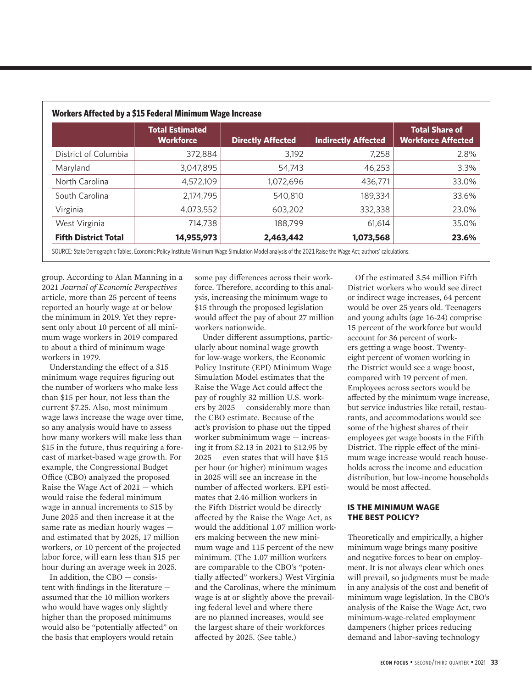|                             | <b>Total Estimated</b><br><b>Workforce</b> | <b>Directly Affected</b> | <b>Indirectly Affected</b> | <b>Total Share of</b><br><b>Workforce Affected</b> |
|-----------------------------|--------------------------------------------|--------------------------|----------------------------|----------------------------------------------------|
| District of Columbia        | 372,884                                    | 3,192                    | 7,258                      | 2.8%                                               |
| Maryland                    | 3,047,895                                  | 54,743                   | 46,253                     | 3.3%                                               |
| North Carolina              | 4,572,109                                  | 1,072,696                | 436,771                    | 33.0%                                              |
| South Carolina              | 2,174,795                                  | 540,810                  | 189,334                    | 33.6%                                              |
| Virginia                    | 4,073,552                                  | 603,202                  | 332,338                    | 23.0%                                              |
| West Virginia               | 714,738                                    | 188,799                  | 61.614                     | 35.0%                                              |
| <b>Fifth District Total</b> | 14,955,973                                 | 2,463,442                | 1,073,568                  | 23.6%                                              |

group. According to Alan Manning in a 2021 *Journal of Economic Perspectives* article, more than 25 percent of teens reported an hourly wage at or below the minimum in 2019. Yet they represent only about 10 percent of all minimum wage workers in 2019 compared to about a third of minimum wage workers in 1979.

Understanding the effect of a \$15 minimum wage requires figuring out the number of workers who make less than \$15 per hour, not less than the current \$7.25. Also, most minimum wage laws increase the wage over time, so any analysis would have to assess how many workers will make less than \$15 in the future, thus requiring a forecast of market-based wage growth. For example, the Congressional Budget Office (CBO) analyzed the proposed Raise the Wage Act of 2021 — which would raise the federal minimum wage in annual increments to \$15 by June 2025 and then increase it at the same rate as median hourly wages and estimated that by 2025, 17 million workers, or 10 percent of the projected labor force, will earn less than \$15 per hour during an average week in 2025.

In addition, the CBO — consistent with findings in the literature assumed that the 10 million workers who would have wages only slightly higher than the proposed minimums would also be "potentially affected" on the basis that employers would retain

some pay differences across their workforce. Therefore, according to this analysis, increasing the minimum wage to \$15 through the proposed legislation would affect the pay of about 27 million workers nationwide.

Under different assumptions, particularly about nominal wage growth for low-wage workers, the Economic Policy Institute (EPI) Minimum Wage Simulation Model estimates that the Raise the Wage Act could affect the pay of roughly 32 million U.S. workers by 2025 — considerably more than the CBO estimate. Because of the act's provision to phase out the tipped worker subminimum wage — increasing it from \$2.13 in 2021 to \$12.95 by 2025 — even states that will have \$15 per hour (or higher) minimum wages in 2025 will see an increase in the number of affected workers. EPI estimates that 2.46 million workers in the Fifth District would be directly affected by the Raise the Wage Act, as would the additional 1.07 million workers making between the new minimum wage and 115 percent of the new minimum. (The 1.07 million workers are comparable to the CBO's "potentially affected" workers.) West Virginia and the Carolinas, where the minimum wage is at or slightly above the prevailing federal level and where there are no planned increases, would see the largest share of their workforces affected by 2025. (See table.)

Of the estimated 3.54 million Fifth District workers who would see direct or indirect wage increases, 64 percent would be over 25 years old. Teenagers and young adults (age 16-24) comprise 15 percent of the workforce but would account for 36 percent of workers getting a wage boost. Twentyeight percent of women working in the District would see a wage boost, compared with 19 percent of men. Employees across sectors would be affected by the minimum wage increase, but service industries like retail, restaurants, and accommodations would see some of the highest shares of their employees get wage boosts in the Fifth District. The ripple effect of the minimum wage increase would reach households across the income and education distribution, but low-income households would be most affected.

### **IS THE MINIMUM WAGE THE BEST POLICY?**

Theoretically and empirically, a higher minimum wage brings many positive and negative forces to bear on employment. It is not always clear which ones will prevail, so judgments must be made in any analysis of the cost and benefit of minimum wage legislation. In the CBO's analysis of the Raise the Wage Act, two minimum-wage-related employment dampeners (higher prices reducing demand and labor-saving technology